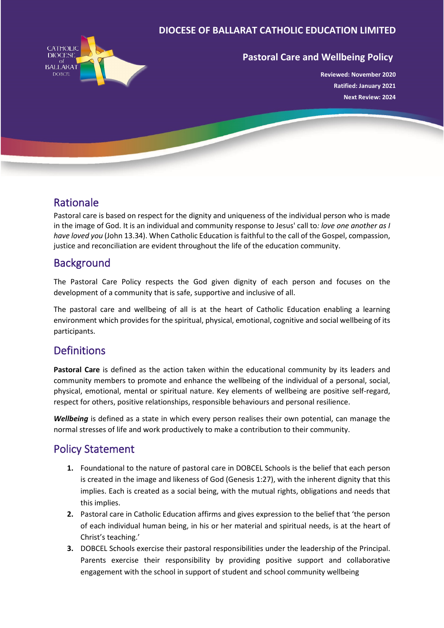#### **DIOCESE OF BALLARAT CATHOLIC EDUCATION LIMITED**



#### **Pastoral Care and Wellbeing Policy**

**Reviewed: November 2020 Ratified: January 2021 Next Review: 2024**

#### Rationale

Pastoral care is based on respect for the dignity and uniqueness of the individual person who is made in the image of God. It is an individual and community response to Jesus' call to*: love one another as I have loved you* (John 13.34). When Catholic Education is faithful to the call of the Gospel, compassion, justice and reconciliation are evident throughout the life of the education community.

## **Background**

The Pastoral Care Policy respects the God given dignity of each person and focuses on the development of a community that is safe, supportive and inclusive of all.

The pastoral care and wellbeing of all is at the heart of Catholic Education enabling a learning environment which provides for the spiritual, physical, emotional, cognitive and social wellbeing of its participants.

## **Definitions**

**Pastoral Care** is defined as the action taken within the educational community by its leaders and community members to promote and enhance the wellbeing of the individual of a personal, social, physical, emotional, mental or spiritual nature. Key elements of wellbeing are positive self-regard, respect for others, positive relationships, responsible behaviours and personal resilience.

*Wellbeing* is defined as a state in which every person realises their own potential, can manage the normal stresses of life and work productively to make a contribution to their community.

## Policy Statement

- **1.** Foundational to the nature of pastoral care in DOBCEL Schools is the belief that each person is created in the image and likeness of God (Genesis 1:27), with the inherent dignity that this implies. Each is created as a social being, with the mutual rights, obligations and needs that this implies.
- **2.** Pastoral care in Catholic Education affirms and gives expression to the belief that 'the person of each individual human being, in his or her material and spiritual needs, is at the heart of Christ's teaching.'
- **3.** DOBCEL Schools exercise their pastoral responsibilities under the leadership of the Principal. Parents exercise their responsibility by providing positive support and collaborative engagement with the school in support of student and school community wellbeing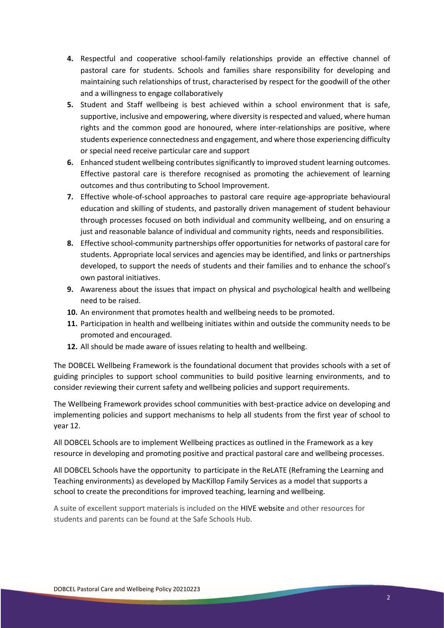- **4.** Respectful and cooperative school-family relationships provide an effective channel of pastoral care for students. Schools and families share responsibility for developing and maintaining such relationships of trust, characterised by respect for the goodwill of the other and a willingness to engage collaboratively
- **5.** Student and Staff wellbeing is best achieved within a school environment that is safe, supportive, inclusive and empowering, where diversity is respected and valued, where human rights and the common good are honoured, where inter-relationships are positive, where students experience connectedness and engagement, and where those experiencing difficulty or special need receive particular care and support
- **6.** Enhanced student wellbeing contributes significantly to improved student learning outcomes. Effective pastoral care is therefore recognised as promoting the achievement of learning outcomes and thus contributing to School Improvement.
- **7.** Effective whole-of-school approaches to pastoral care require age-appropriate behavioural education and skilling of students, and pastorally driven management of student behaviour through processes focused on both individual and community wellbeing, and on ensuring a just and reasonable balance of individual and community rights, needs and responsibilities.
- **8.** Effective school-community partnerships offer opportunities for networks of pastoral care for students. Appropriate local services and agencies may be identified, and links or partnerships developed, to support the needs of students and their families and to enhance the school's own pastoral initiatives.
- **9.** Awareness about the issues that impact on physical and psychological health and wellbeing need to be raised.
- **10.** An environment that promotes health and wellbeing needs to be promoted.
- **11.** Participation in health and wellbeing initiates within and outside the community needs to be promoted and encouraged.
- **12.** All should be made aware of issues relating to health and wellbeing.

The DOBCEL Wellbeing Framework is the foundational document that provides schools with a set of guiding principles to support school communities to build positive learning environments, and to consider reviewing their current safety and wellbeing policies and support requirements.

The Wellbeing Framework provides school communities with best-practice advice on developing and implementing policies and support mechanisms to help all students from the first year of school to year 12.

All DOBCEL Schools are to implement Wellbeing practices as outlined in the Framework as a key resource in developing and promoting positive and practical pastoral care and wellbeing processes.

All DOBCEL Schools have the opportunity to participate in the ReLATE (Reframing the Learning and Teaching environments) as developed by MacKillop Family Services as a model that supports a school to create the preconditions for improved teaching, learning and wellbeing.

A suite of excellent support materials is included on the HIVE website and other resources for students and parents can be found at the Safe Schools Hub.